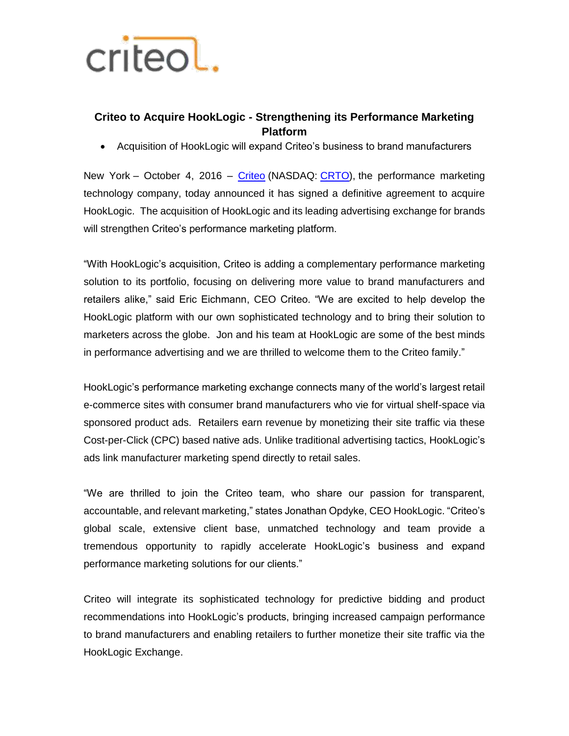

## **Criteo to Acquire HookLogic - Strengthening its Performance Marketing Platform**

Acquisition of HookLogic will expand Criteo's business to brand manufacturers

New York – October 4, 2016 – [Criteo](http://www.criteo.com/) (NASDAQ: [CRTO\)](https://www.google.com/finance?cid=281026445686504), the performance marketing technology company, today announced it has signed a definitive agreement to acquire HookLogic. The acquisition of HookLogic and its leading advertising exchange for brands will strengthen Criteo's performance marketing platform.

"With HookLogic's acquisition, Criteo is adding a complementary performance marketing solution to its portfolio, focusing on delivering more value to brand manufacturers and retailers alike," said Eric Eichmann, CEO Criteo. "We are excited to help develop the HookLogic platform with our own sophisticated technology and to bring their solution to marketers across the globe. Jon and his team at HookLogic are some of the best minds in performance advertising and we are thrilled to welcome them to the Criteo family."

HookLogic's performance marketing exchange connects many of the world's largest retail e-commerce sites with consumer brand manufacturers who vie for virtual shelf-space via sponsored product ads. Retailers earn revenue by monetizing their site traffic via these Cost-per-Click (CPC) based native ads. Unlike traditional advertising tactics, HookLogic's ads link manufacturer marketing spend directly to retail sales.

"We are thrilled to join the Criteo team, who share our passion for transparent, accountable, and relevant marketing," states Jonathan Opdyke, CEO HookLogic. "Criteo's global scale, extensive client base, unmatched technology and team provide a tremendous opportunity to rapidly accelerate HookLogic's business and expand performance marketing solutions for our clients."

Criteo will integrate its sophisticated technology for predictive bidding and product recommendations into HookLogic's products, bringing increased campaign performance to brand manufacturers and enabling retailers to further monetize their site traffic via the HookLogic Exchange.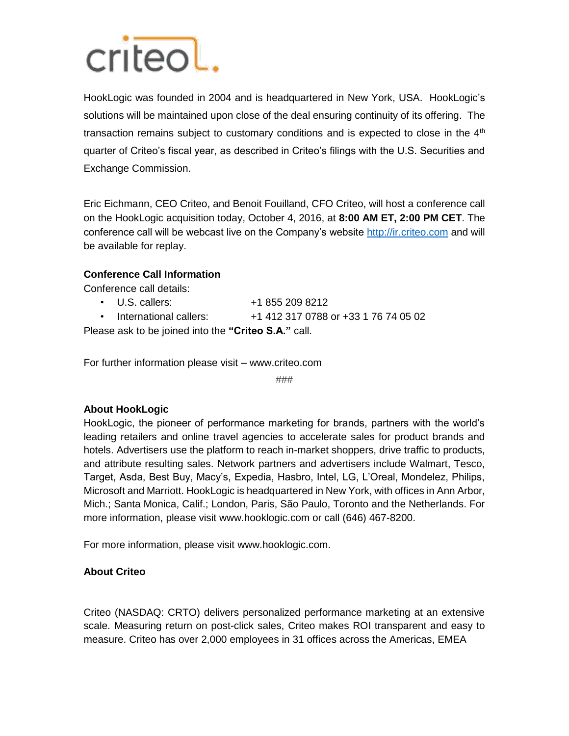# criteol.

HookLogic was founded in 2004 and is headquartered in New York, USA. HookLogic's solutions will be maintained upon close of the deal ensuring continuity of its offering. The transaction remains subject to customary conditions and is expected to close in the  $4<sup>th</sup>$ quarter of Criteo's fiscal year, as described in Criteo's filings with the U.S. Securities and Exchange Commission.

Eric Eichmann, CEO Criteo, and Benoit Fouilland, CFO Criteo, will host a conference call on the HookLogic acquisition today, October 4, 2016, at **8:00 AM ET, 2:00 PM CET**. The conference call will be webcast live on the Company's website http://ir.criteo.com and will be available for replay.

## **Conference Call Information**

Conference call details:

- U.S. callers: +1 855 209 8212
- International callers: +1 412 317 0788 or +33 1 76 74 05 02

Please ask to be joined into the **"Criteo S.A."** call.

For further information please visit – www.criteo.com

###

### **About HookLogic**

HookLogic, the pioneer of performance marketing for brands, partners with the world's leading retailers and online travel agencies to accelerate sales for product brands and hotels. Advertisers use the platform to reach in-market shoppers, drive traffic to products, and attribute resulting sales. Network partners and advertisers include Walmart, Tesco, Target, Asda, Best Buy, Macy's, Expedia, Hasbro, Intel, LG, L'Oreal, Mondelez, Philips, Microsoft and Marriott. HookLogic is headquartered in New York, with offices in Ann Arbor, Mich.; Santa Monica, Calif.; London, Paris, São Paulo, Toronto and the Netherlands. For more information, please visit www.hooklogic.com or call (646) 467-8200.

For more information, please visit www.hooklogic.com.

### **About Criteo**

Criteo (NASDAQ: CRTO) delivers personalized performance marketing at an extensive scale. Measuring return on post-click sales, Criteo makes ROI transparent and easy to measure. Criteo has over 2,000 employees in 31 offices across the Americas, EMEA